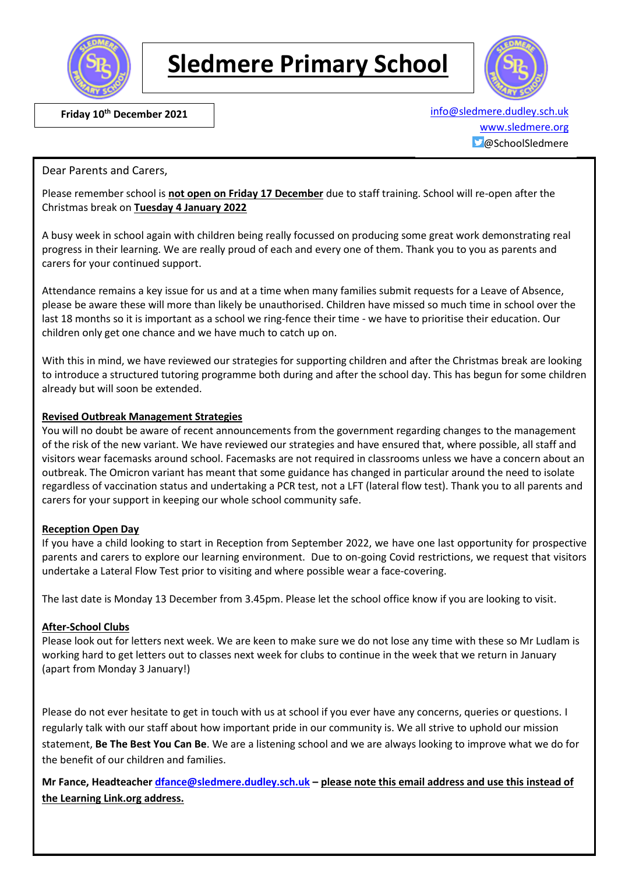

## **Sledmere Primary School**



 **Friday 10th December 2021** [info@sledmere.dudley.sch.uk](mailto:info@sledmere.dudley.sch.uk) [www.sledmere.org](http://www.sledmere.org/) @SchoolSledmere

Dear Parents and Carers,

Please remember school is **not open on Friday 17 December** due to staff training. School will re-open after the Christmas break on **Tuesday 4 January 2022**

A busy week in school again with children being really focussed on producing some great work demonstrating real progress in their learning. We are really proud of each and every one of them. Thank you to you as parents and carers for your continued support.

Attendance remains a key issue for us and at a time when many families submit requests for a Leave of Absence, please be aware these will more than likely be unauthorised. Children have missed so much time in school over the last 18 months so it is important as a school we ring-fence their time - we have to prioritise their education. Our children only get one chance and we have much to catch up on.

With this in mind, we have reviewed our strategies for supporting children and after the Christmas break are looking to introduce a structured tutoring programme both during and after the school day. This has begun for some children already but will soon be extended.

#### **Revised Outbreak Management Strategies**

You will no doubt be aware of recent announcements from the government regarding changes to the management of the risk of the new variant. We have reviewed our strategies and have ensured that, where possible, all staff and visitors wear facemasks around school. Facemasks are not required in classrooms unless we have a concern about an outbreak. The Omicron variant has meant that some guidance has changed in particular around the need to isolate regardless of vaccination status and undertaking a PCR test, not a LFT (lateral flow test). Thank you to all parents and carers for your support in keeping our whole school community safe.

#### **Reception Open Day**

If you have a child looking to start in Reception from September 2022, we have one last opportunity for prospective parents and carers to explore our learning environment. Due to on-going Covid restrictions, we request that visitors undertake a Lateral Flow Test prior to visiting and where possible wear a face-covering.

The last date is Monday 13 December from 3.45pm. Please let the school office know if you are looking to visit.

### **After-School Clubs**

Please look out for letters next week. We are keen to make sure we do not lose any time with these so Mr Ludlam is working hard to get letters out to classes next week for clubs to continue in the week that we return in January (apart from Monday 3 January!)

Please do not ever hesitate to get in touch with us at school if you ever have any concerns, queries or questions. I regularly talk with our staff about how important pride in our community is. We all strive to uphold our mission statement, **Be The Best You Can Be**. We are a listening school and we are always looking to improve what we do for the benefit of our children and families.

**Mr Fance, Headteacher [dfance@sledmere.dudley.sch.uk](mailto:dfance@sledmere.dudley.sch.uk) – please note this email address and use this instead of the Learning Link.org address.**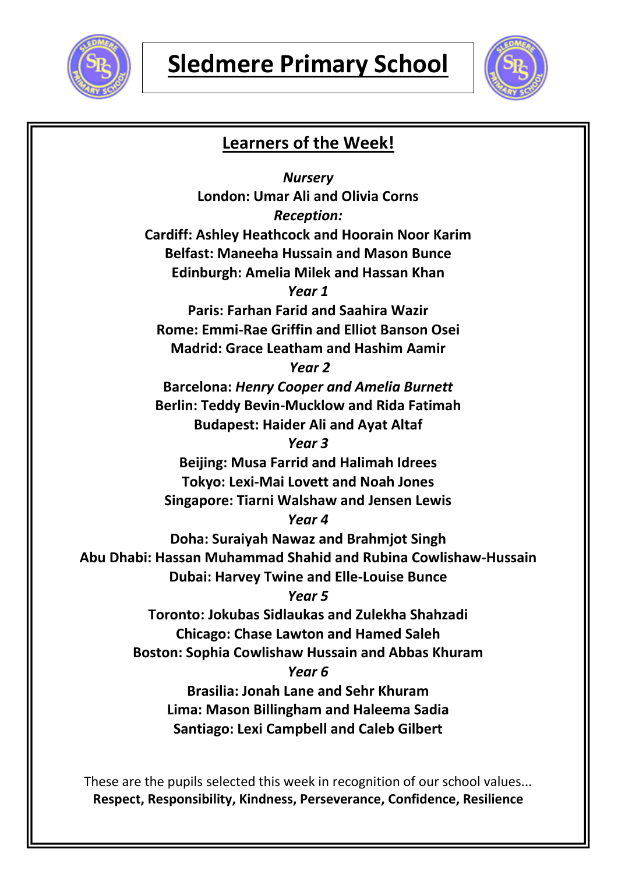



### **Learners of the Week!**

*Nursery* **London: Umar Ali and Olivia Corns** *Reception:*  **Cardiff: Ashley Heathcock and Hoorain Noor Karim Belfast: Maneeha Hussain and Mason Bunce Edinburgh: Amelia Milek and Hassan Khan** *Year 1* **Paris: Farhan Farid and Saahira Wazir Rome: Emmi-Rae Griffin and Elliot Banson Osei Madrid: Grace Leatham and Hashim Aamir** *Year 2* **Barcelona:** *Henry Cooper and Amelia Burnett* **Berlin: Teddy Bevin-Mucklow and Rida Fatimah Budapest: Haider Ali and Ayat Altaf** *Year 3* **Beijing: Musa Farrid and Halimah Idrees Tokyo: Lexi-Mai Lovett and Noah Jones Singapore: Tiarni Walshaw and Jensen Lewis** *Year 4* **Doha: Suraiyah Nawaz and Brahmjot Singh Abu Dhabi: Hassan Muhammad Shahid and Rubina Cowlishaw-Hussain Dubai: Harvey Twine and Elle-Louise Bunce** *Year 5* **Toronto: Jokubas Sidlaukas and Zulekha Shahzadi Chicago: Chase Lawton and Hamed Saleh Boston: Sophia Cowlishaw Hussain and Abbas Khuram** *Year 6* **Brasilia: Jonah Lane and Sehr Khuram Lima: Mason Billingham and Haleema Sadia Santiago: Lexi Campbell and Caleb Gilbert**

These are the pupils selected this week in recognition of our school values... **Respect, Responsibility, Kindness, Perseverance, Confidence, Resilience**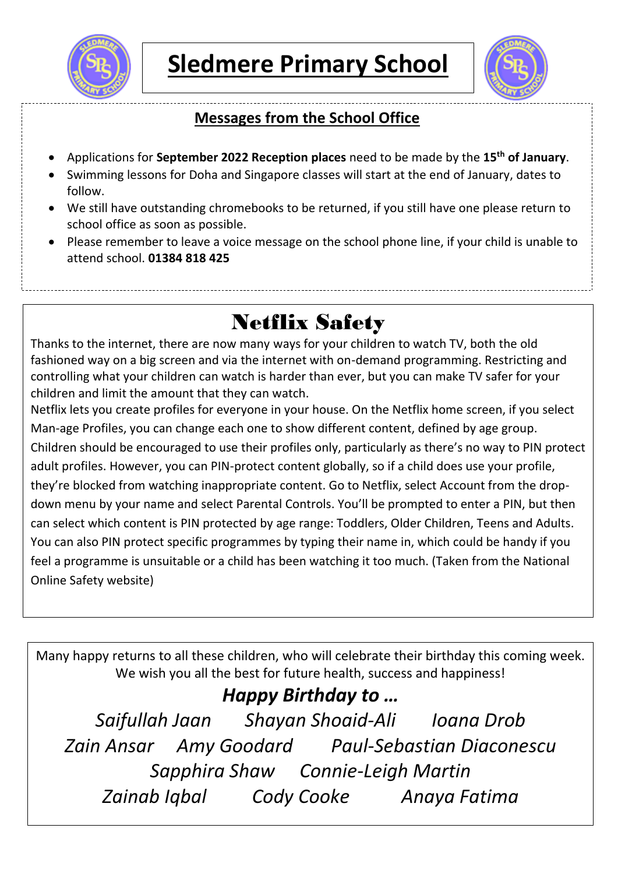



### **Messages from the School Office**

- Applications for **September 2022 Reception places** need to be made by the **15th of January**.
- Swimming lessons for Doha and Singapore classes will start at the end of January, dates to follow.
- We still have outstanding chromebooks to be returned, if you still have one please return to school office as soon as possible.
- Please remember to leave a voice message on the school phone line, if your child is unable to attend school. **01384 818 425**

# Netflix Safety

Thanks to the internet, there are now many ways for your children to watch TV, both the old fashioned way on a big screen and via the internet with on-demand programming. Restricting and controlling what your children can watch is harder than ever, but you can make TV safer for your children and limit the amount that they can watch.

Netflix lets you create profiles for everyone in your house. On the Netflix home screen, if you select Man-age Profiles, you can change each one to show different content, defined by age group. Children should be encouraged to use their profiles only, particularly as there's no way to PIN protect adult profiles. However, you can PIN-protect content globally, so if a child does use your profile, they're blocked from watching inappropriate content. Go to Netflix, select Account from the dropdown menu by your name and select Parental Controls. You'll be prompted to enter a PIN, but then can select which content is PIN protected by age range: Toddlers, Older Children, Teens and Adults. You can also PIN protect specific programmes by typing their name in, which could be handy if you feel a programme is unsuitable or a child has been watching it too much. (Taken from the National Online Safety website)

Many happy returns to all these children, who will celebrate their birthday this coming week. We wish you all the best for future health, success and happiness!

## *Happy Birthday to …*

*Saifullah Jaan Shayan Shoaid-Ali Ioana Drob Zain Ansar Amy Goodard Paul-Sebastian Diaconescu Sapphira Shaw Connie-Leigh Martin Zainab Iqbal Cody Cooke Anaya Fatima*